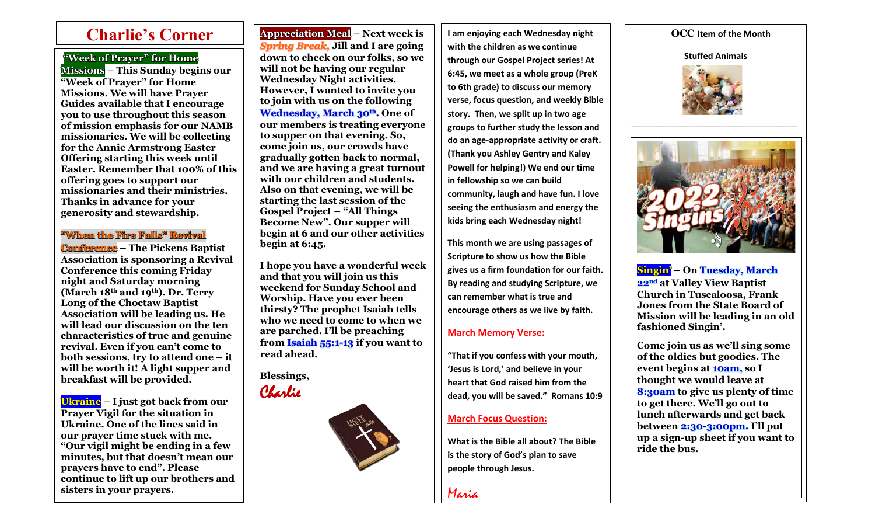# **"Week of Prayer" for Home**

 $\overline{\phantom{a}}$ 

**Missions – This Sunday begins our "Week of Prayer" for Home Missions. We will have Prayer Guides available that I encourage you to use throughout this season of mission emphasis for our NAMB missionaries. We will be collecting for the Annie Armstrong Easter Offering starting this week until Easter. Remember that 100% of this offering goes to support our missionaries and their ministries. Thanks in advance for your generosity and stewardship.**

# **"When the Fire Falls" Revival**

**Conference – The Pickens Baptist Association is sponsoring a Revival Conference this coming Friday night and Saturday morning (March 18th and 19th). Dr. Terry Long of the Choctaw Baptist Association will be leading us. He will lead our discussion on the ten characteristics of true and genuine revival. Even if you can't come to both sessions, try to attend one – it will be worth it! A light supper and breakfast will be provided.** 

**Ukraine – I just got back from our Prayer Vigil for the situation in Ukraine. One of the lines said in our prayer time stuck with me. "Our vigil might be ending in a few minutes, but that doesn't mean our prayers have to end". Please continue to lift up our brothers and sisters in your prayers.**

*Spring Break,* **Jill and I are going down to check on our folks, so we will not be having our regular Wednesday Night activities. However, I wanted to invite you to join with us on the following Wednesday, March 30th. One of our members is treating everyone to supper on that evening. So, come join us, our crowds have gradually gotten back to normal, and we are having a great turnout with our children and students. Also on that evening, we will be starting the last session of the Gospel Project – "All Things Become New". Our supper will begin at 6 and our other activities begin at 6:45.** 

**I hope you have a wonderful week and that you will join us this weekend for Sunday School and Worship. Have you ever been thirsty? The prophet Isaiah tells who we need to come to when we are parched. I'll be preaching from Isaiah 55:1-13 if you want to read ahead.** 

**Blessings,**



**Charlie's Corner**  $\begin{array}{|c|c|c|c|c|}\n\hline\n\textbf{Appreciation Meal} - \textbf{Next week is} & \textbf{I am enjoying each Wednesday night} & \textbf{OCC Item of the Month} \\
\hline\n\end{array}$ **I am enjoying each Wednesday night with the children as we continue through our Gospel Project series! At 6:45, we meet as a whole group (PreK to 6th grade) to discuss our memory verse, focus question, and weekly Bible story. Then, we split up in two age groups to further study the lesson and do an age-appropriate activity or craft. (Thank you Ashley Gentry and Kaley Powell for helping!) We end our time in fellowship so we can build community, laugh and have fun. I love seeing the enthusiasm and energy the kids bring each Wednesday night!** 

> **This month we are using passages of Scripture to show us how the Bible gives us a firm foundation for our faith. By reading and studying Scripture, we can remember what is true and encourage others as we live by faith.**

### **March Memory Verse:**

**"That if you confess with your mouth, 'Jesus is Lord,' and believe in your heart that God raised him from the dead, you will be saved." Romans 10:9**

# **March Focus Question:**

**What is the Bible all about? The Bible is the story of God's plan to save people through Jesus.** 

Maria

**Stuffed Animals**



\_\_\_\_\_\_\_\_\_\_\_\_\_\_\_\_\_\_\_\_\_\_\_\_\_\_\_\_\_\_\_\_\_\_\_



**Singin' – On Tuesday, March 22nd at Valley View Baptist Church in Tuscaloosa, Frank Jones from the State Board of Mission will be leading in an old fashioned Singin'.** 

**Come join us as we'll sing some of the oldies but goodies. The event begins at 10am, so I thought we would leave at 8:30am to give us plenty of time to get there. We'll go out to lunch afterwards and get back between 2:30-3:00pm. I'll put up a sign-up sheet if you want to ride the bus.**